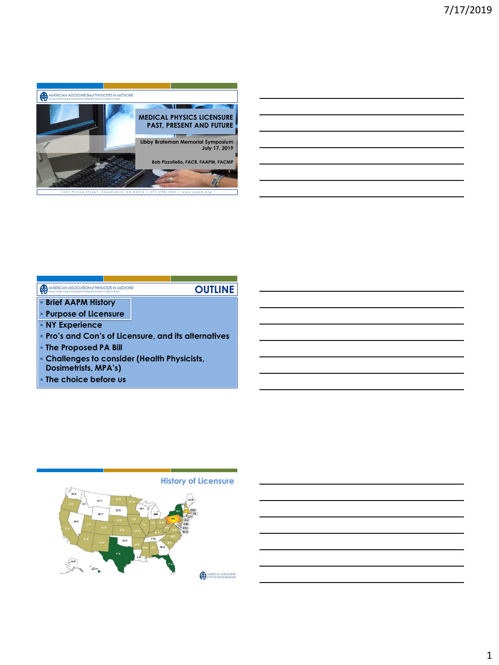

| <u> 1989 - Johann Stoff, deutscher Stoff, der Stoff, der Stoff, der Stoff, der Stoff, der Stoff, der Stoff, der S</u> |  |                                        |
|-----------------------------------------------------------------------------------------------------------------------|--|----------------------------------------|
|                                                                                                                       |  |                                        |
| <u> 1989 - Johann Stoff, deutscher Stoff, der Stoff, der Stoff, der Stoff, der Stoff, der Stoff, der Stoff, der S</u> |  |                                        |
| <u> 1989 - Johann Stein, mars an deus Amerikaansk kommunister (* 1958)</u>                                            |  | the control of the control of the con- |
| <u> 1989 - Johann Stoff, deutscher Stoffen und der Stoffen und der Stoffen und der Stoffen und der Stoffen und de</u> |  |                                        |
|                                                                                                                       |  |                                        |

## **OUTLINE** AMERICAN ASSOCIATION of PHYSICISTS IN MEDICINE<br>Advancing the Science, Education & Professional Practice of Medical Physics **Brief AAPM History Purpose of Licensure NY Experience Pro's and Con's of Licensure, and its alternatives The Proposed PA Bill Challenges to consider (Health Physicists, Dosimetrists, MPA's) The choice before us**



## **History of Licensure**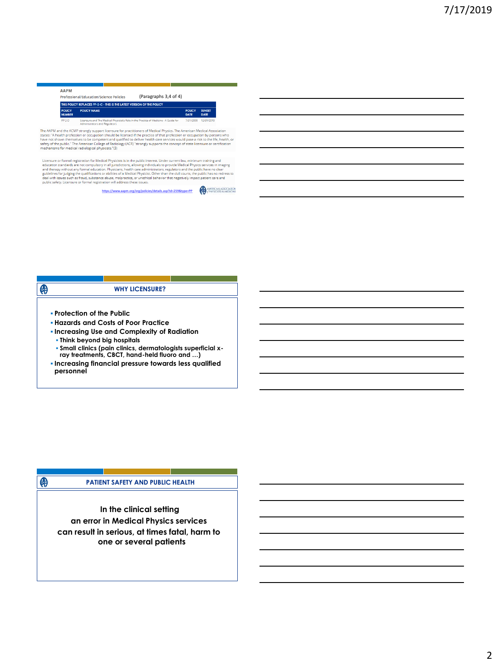| <b>AAPM</b>                    |                                                                                                                             |                       |                              |                              |
|--------------------------------|-----------------------------------------------------------------------------------------------------------------------------|-----------------------|------------------------------|------------------------------|
|                                | Professional/Education/Science Policies                                                                                     | (Paragraphs 3,4 of 4) |                              |                              |
|                                | THIS POLICY REPLACES PP-2-C - THIS IS THE LATEST VERSION OF THE POLICY                                                      |                       |                              |                              |
| <b>POLICY</b><br><b>NUMBER</b> | <b>POLICY NAME</b>                                                                                                          |                       | <b>POLICY</b><br><b>DATE</b> | <b>SUNSET</b><br><b>DATE</b> |
| <b>PP 2-D</b>                  | Licensure and The Medical Physicist's Role in the Practice of Medicine - A Guide for<br>Advertising contract and Department |                       | 7/31/2008                    | 12/31/2019                   |

The AAPM and the ACMP strongly support licensure for practitioners of Medical Physics. The American Medical Association<br>states: "A health profession or occupation should be licensed if the practice of this profession or oc

Licensure or formal registration for Medical Physicists is in the public interest. Under current law, minimum training and education mandards are not compulsory in all jurisdictions, allowing individual at to provide Medic

<https://www.aapm.org/org/policies/details.asp?id=259&type=PP>  $\bigotimes$  MARRICAN ASSOCIATION

## **WHY LICENSURE?**

**Protection of the Public**

₩

4

- **Hazards and Costs of Poor Practice**
- **Increasing Use and Complexity of Radiation**
- **Think beyond big hospitals**
- **Small clinics (pain clinics, dermatologists superficial xray treatments, CBCT, hand-held fluoro and …)**
- **Increasing financial pressure towards less qualified personnel**

#### **PATIENT SAFETY AND PUBLIC HEALTH**

<u> Indonesia ya m</u>

**In the clinical setting an error in Medical Physics services can result in serious, at times fatal, harm to one or several patients**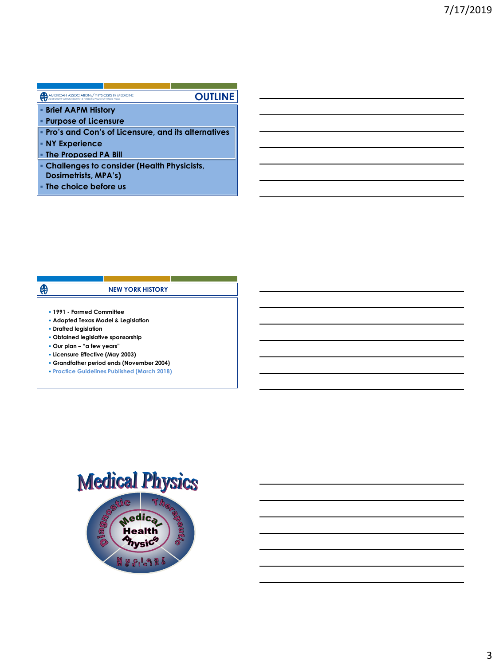## AMERICAN ASSOCIATION of PHYSICISTS IN MEDICINE

**OUTLINE**

- **Brief AAPM History**
- **Purpose of Licensure**
- **Pro's and Con's of Licensure, and its alternatives**
- **NY Experience**
- **The Proposed PA Bill**
- **Challenges to consider (Health Physicists, Dosimetrists, MPA's)**
- **The choice before us**

## **NEW YORK HISTORY**

- **1991 - Formed Committee**
- **Adopted Texas Model & Legislation**
- **Drafted legislation**

舟

- **Obtained legislative sponsorship**
- **Our plan – "a few years"**
- **Licensure Effective (May 2003)**
- **Grandfather period ends (November 2004)**
- **Practice Guidelines Published (March 2018)**

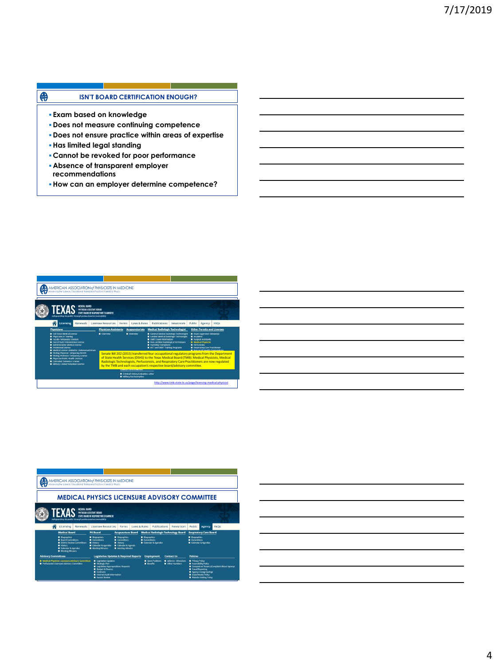## **ISN'T BOARD CERTIFICATION ENOUGH?**

**Exam based on knowledge**

舟

- **Does not measure continuing competence**
- **Does not ensure practice within areas of expertise**
- **Has limited legal standing**
- **Cannot be revoked for poor performance**
- **Absence of transparent employer recommendations**
- **How can an employer determine competence?**



|                            |                                                                                                                                                          |                                                | AMERICAN ASSOCIATION of PHYSICISTS IN MEDICINE                                                                                                                                          |                                                                                                                  |              |                             |                         |                                                |                                    |                                                                                                         |                                             |
|----------------------------|----------------------------------------------------------------------------------------------------------------------------------------------------------|------------------------------------------------|-----------------------------------------------------------------------------------------------------------------------------------------------------------------------------------------|------------------------------------------------------------------------------------------------------------------|--------------|-----------------------------|-------------------------|------------------------------------------------|------------------------------------|---------------------------------------------------------------------------------------------------------|---------------------------------------------|
|                            |                                                                                                                                                          |                                                | <b>MEDICAL PHYSICS LICENSURE ADVISORY COMMITTEE</b>                                                                                                                                     |                                                                                                                  |              |                             |                         |                                                |                                    |                                                                                                         |                                             |
|                            |                                                                                                                                                          | MEDICAL BOARD                                  | PHYSICIA ASSISTANT ROARD<br>STATE ROARD OF ACUPUNCTURE EXAMINERS.<br>Sofementing the public through professional accountability                                                         |                                                                                                                  |              |                             |                         |                                                |                                    |                                                                                                         |                                             |
|                            | Licensing                                                                                                                                                | Renewals                                       | Licensee Resources                                                                                                                                                                      | Forms                                                                                                            | Laws & Rules |                             | Publications            | Newsroom                                       | Public                             | Agency                                                                                                  | FAOS                                        |
|                            | <b>Modical Board</b>                                                                                                                                     |                                                | <b>PA Roard</b>                                                                                                                                                                         | <b>Acupuncture Board</b>                                                                                         |              |                             |                         | <b>Medical Radiologic Technology Board</b>     |                                    | <b>Respiratory Care Board</b>                                                                           |                                             |
|                            | <b>B</b> Diceraphies<br><b>Board Committees</b><br>District Brylew Committees<br>$\blacksquare$ History<br>Colendar & Associas<br><b>Meeting Minutes</b> |                                                | <b>B</b> Hourselvies<br>Committees<br>$H$ Highery<br>Calendar & Agendas<br><b>Meeting Minutes</b>                                                                                       | <b>B</b> Biosynphies<br><b>E</b> Committees<br><b>B</b> History<br>Calendar & Agenda<br><b>N</b> Meeting Minutes |              | E Dicervohies<br>Committees | Glendar & Atendas       |                                                | <b>B</b> Blozzachies<br>Committees | Colendar & Agendas                                                                                      |                                             |
| <b>Advisory Committees</b> |                                                                                                                                                          |                                                | <b>Legislative Updates &amp; Required Reports</b>                                                                                                                                       |                                                                                                                  |              |                             | <b>Employment</b>       | <b>Contact Us</b>                              | <b>Policies</b>                    |                                                                                                         |                                             |
|                            | Perfusionist Licensure Advisory Committee                                                                                                                | Medical Physicist Licensure Advisory Committee | texistative updates<br>Strategic Plan<br><b>E Lexislative Appropriations Requests</b><br><b>B. Budget &amp; Finance</b><br>Contracts<br>the internal Audit Information<br>Sanset Roview |                                                                                                                  |              | <b>B</b> Herefits           | <b>B</b> Gren Positions | Address - Directions<br><b>B</b> Other Numbers | Privacy Policy<br>Fraud Reporting  | Accessibility Policy<br>Apency Energy Savings<br>Social Media Policy<br><b>N</b> Website Linking Policy | Compact w/ Texans (Complaint About Ajerney) |

| <u> 1989 - Johann Stoff, amerikansk politiker (d. 1989)</u>                                                           |  |  |
|-----------------------------------------------------------------------------------------------------------------------|--|--|
| <u> 1989 - Johann Stoff, deutscher Stoffen und der Stoffen und der Stoffen und der Stoffen und der Stoffen und d</u>  |  |  |
| <u> 1989 - Johann Stoff, amerikansk politiker (d. 1989)</u>                                                           |  |  |
| <u> 1989 - Johann Barn, mars ann an t-Amhainn an t-Amhainn an t-Amhainn an t-Amhainn an t-Amhainn an t-Amhainn an</u> |  |  |
| <u> 1989 - Johann Barn, mars ann an t-Amhainn an t-Amhainn an t-Amhainn an t-Amhainn an t-Amhainn an t-Amhainn an</u> |  |  |
| and the control of the control of the control of the control of the control of the control of the control of th       |  |  |
|                                                                                                                       |  |  |
|                                                                                                                       |  |  |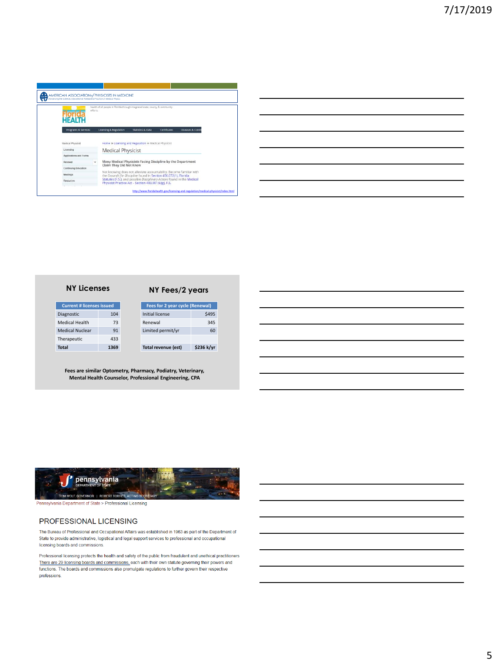| <b>HEALTH</b>          | efforts. | health of all people in Florida through integrated state, county, & community                                                          |                              |                     |                  |  |
|------------------------|----------|----------------------------------------------------------------------------------------------------------------------------------------|------------------------------|---------------------|------------------|--|
| Programs & Services    |          | <b>Licensing &amp; Regulation</b>                                                                                                      | <b>Statistics &amp; Data</b> | <b>Certificates</b> | Diseases & Condi |  |
|                        |          |                                                                                                                                        |                              |                     |                  |  |
| Medical Physicist      |          | Home » Licensing and Regulation » Medical Physicist                                                                                    |                              |                     |                  |  |
| Licensing              |          | <b>Medical Physicist</b>                                                                                                               |                              |                     |                  |  |
| Applications and Forms |          |                                                                                                                                        |                              |                     |                  |  |
| Renewal                |          | Many Medical Physicists Facing Discipline by the Department                                                                            |                              |                     |                  |  |
| Continuing Education   |          | Claim They Did Not Know                                                                                                                |                              |                     |                  |  |
| Meetings               |          | Not knowing does not alleviate accountability. Become familiar with<br>the Grounds for Discipline found in Section 456.072(1), Florida |                              |                     |                  |  |

| <u> 1989 - Johann Barn, mars ann an t-Amhain ann an t-Amhain ann an t-Amhain ann an t-Amhain an t-Amhain ann an t-</u>                                                                                                        |  |  |
|-------------------------------------------------------------------------------------------------------------------------------------------------------------------------------------------------------------------------------|--|--|
|                                                                                                                                                                                                                               |  |  |
| the control of the control of the control of the control of the control of the control of the control of the control of the control of the control of the control of the control of the control of the control of the control |  |  |
| <u> 1989 - Jan Barat, margaret amerikan bahasa di sebagai bahasa di sebagai bahasa di sebagai bahasa di sebagai b</u>                                                                                                         |  |  |
| <u> 1989 - Johann Stoff, deutscher Stoffen und der Stoffen und der Stoffen und der Stoffen und der Stoffen und der</u>                                                                                                        |  |  |
|                                                                                                                                                                                                                               |  |  |

## **NY Licenses**

## **NY Fees/2 years**

| <b>Current # licenses issued</b> |      |
|----------------------------------|------|
| Diagnostic                       | 104  |
| <b>Medical Health</b>            | 73   |
| <b>Medical Nuclear</b>           | 91   |
| Therapeutic                      | 433  |
| <b>Total</b>                     | 1369 |

| Fees for 2 year cycle (Renewal) |            |
|---------------------------------|------------|
| <b>Initial license</b>          | \$495      |
| Renewal                         | 345        |
| Limited permit/yr               | 60         |
|                                 |            |
| Total revenue (est)             | \$236 k/yr |

**Fees are similar Optometry, Pharmacy, Podiatry, Veterinary, Mental Health Counselor, Professional Engineering, CPA** 



#### Pennsylvania Department of State > Professional Licensing

## PROFESSIONAL LICENSING

The Bureau of Professional and Occupational Affairs was established in 1963 as part of the Department of State to provide administrative, logistical and legal support services to professional and occupational licensing boards and commissions.

Professional licensing protects the health and safety of the public from fraudulent and unethical practitioners There are 29 licensing boards and commissions, each with their own statute governing their powers and functions. The boards and commissions also promulgate regulations to further govern their respective professions.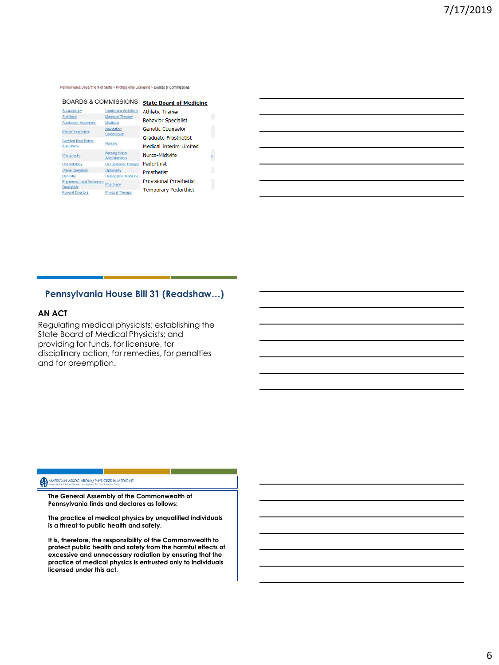Pennsylvania Department of State > Professional Licensing > Boards & Commissions

| Accountancy                                | <b>Landscape Architects</b>    | Athletic Trainer               |
|--------------------------------------------|--------------------------------|--------------------------------|
| <b>Architects</b>                          | Massage Therapy                |                                |
| <b>Auctioneer Examiners</b>                | Medicine                       | <b>Behavior Specialist</b>     |
| <b>Barber Examiners</b>                    | Navigation                     | Genetic Counselor              |
|                                            | Commission                     | <b>Graduate Prosthetist</b>    |
| <b>Certified Real Estate</b><br>Appraisers | Nursing                        | Medical Interim Limited        |
|                                            |                                |                                |
| Chiropractic                               | Nursing Home<br>Administrators | Nurse-Midwife                  |
| Cosmetology                                | <b>Occupational Therapy</b>    | Pedorthist                     |
| <b>Crane Operators</b>                     | Optometry                      | Prosthetist                    |
| Dentistry                                  | Osteopathic Medicine           |                                |
| <b>Engineers, Land Surveyors,</b>          | Pharmacy                       | <b>Provisional Prosthetist</b> |
| Geologists                                 |                                | <b>Temporary Pedorthist</b>    |
| <b>Funeral Directors</b>                   | <b>Physical Therapy</b>        |                                |

| <u> 1989 - Johann Stoff, amerikansk politiker (d. 1989)</u>                                                         |  |  |
|---------------------------------------------------------------------------------------------------------------------|--|--|
|                                                                                                                     |  |  |
| <u> 1989 - Johann Barbara, martxa alemaniar argamento este alemaniar alemaniar alemaniar alemaniar alemaniar al</u> |  |  |
|                                                                                                                     |  |  |

## **Pennsylvania House Bill 31 (Readshaw…)**

## **AN ACT**

Regulating medical physicists; establishing the State Board of Medical Physicists; and providing for funds, for licensure, for disciplinary action, for remedies, for penalties and for preemption.

## AMERICAN ASSOCIATION of PHYSICISTS IN MEDICINE

**The General Assembly of the Commonwealth of Pennsylvania finds and declares as follows:**

**The practice of medical physics by unqualified individuals is a threat to public health and safety.** 

**It is, therefore, the responsibility of the Commonwealth to protect public health and safety from the harmful effects of excessive and unnecessary radiation by ensuring that the practice of medical physics is entrusted only to individuals licensed under this act.**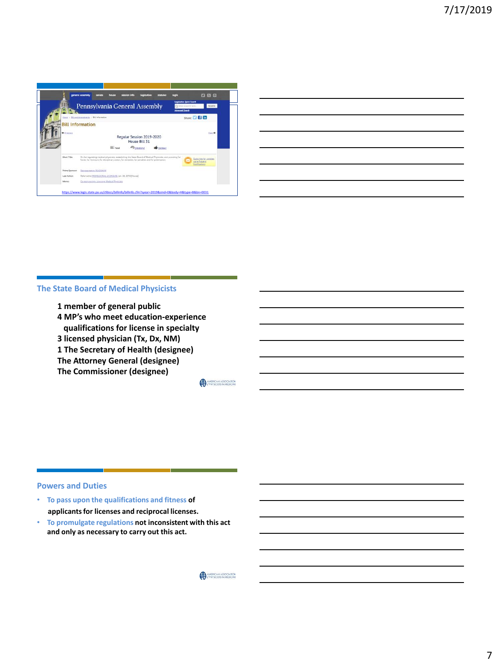

| <u> 1989 - Johann Stoff, amerikansk politiker (d. 1989)</u>                                                           |  |  |  |
|-----------------------------------------------------------------------------------------------------------------------|--|--|--|
| <u> 1989 - Johann Stoff, deutscher Stoff, der Stoff, der Stoff, der Stoff, der Stoff, der Stoff, der Stoff, der S</u> |  |  |  |
| <u> 1989 - Johann Stoff, deutscher Stoff, der Stoff, der Stoff, der Stoff, der Stoff, der Stoff, der Stoff, der S</u> |  |  |  |
| <u> 1989 - Johann Stoff, deutscher Stoff, der Stoff, der Stoff, der Stoff, der Stoff, der Stoff, der Stoff, der S</u> |  |  |  |
| <u> 1989 - Johann Stoff, amerikansk politiker (d. 1989)</u>                                                           |  |  |  |
|                                                                                                                       |  |  |  |

## **The State Board of Medical Physicists**

- **1 member of general public**
- **4 MP's who meet education-experience qualifications for license in specialty 3 licensed physician (Tx, Dx, NM) 1 The Secretary of Health (designee) The Attorney General (designee) The Commissioner (designee)** AMERICAN ASSOCIATION

**Powers and Duties**

- **To pass upon the qualifications and fitness of applicants for licenses and reciprocal licenses.**
- **To promulgate regulations not inconsistent with this act and only as necessary to carry out this act.**

AMERICAN ASSOCIATION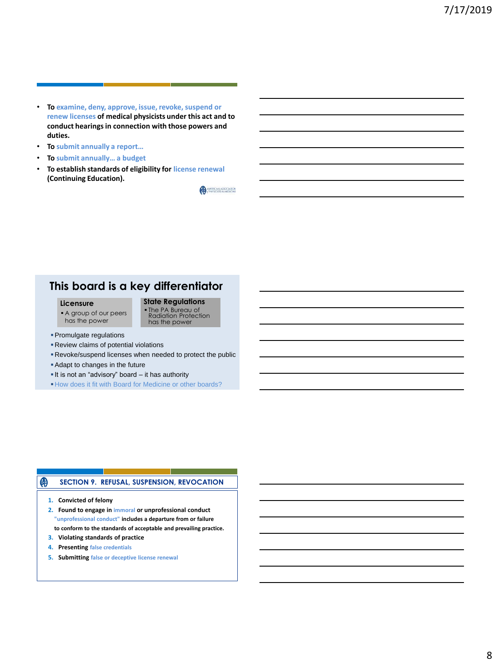- **To examine, deny, approve, issue, revoke, suspend or renew licenses of medical physicists under this act and to conduct hearings in connection with those powers and duties.**
- **To submit annually a report…**
- **To submit annually… a budget**
- **To establish standards of eligibility for license renewal (Continuing Education).**

**This board is a key differentiator**

### **Licensure**

 A group of our peers has the power

## **State Regulations**

<u>a sa salawan sa sana</u>

AMERICAN ASSOCIATION

The PA Bureau of Radiation Protection has the power

- Promulgate regulations
- Review claims of potential violations
- Revoke/suspend licenses when needed to protect the public
- Adapt to changes in the future
- $\blacksquare$ It is not an "advisory" board  $-$  it has authority
- How does it fit with Board for Medicine or other boards?

#### 铅 **SECTION 9. REFUSAL, SUSPENSION, REVOCATION**

- **1. Convicted of felony**
- **2. Found to engage in immoral or unprofessional conduct "unprofessional conduct" includes a departure from or failure to conform to the standards of acceptable and prevailing practice.**
- **3. Violating standards of practice**
- **4. Presenting false credentials**
- **5. Submitting false or deceptive license renewal**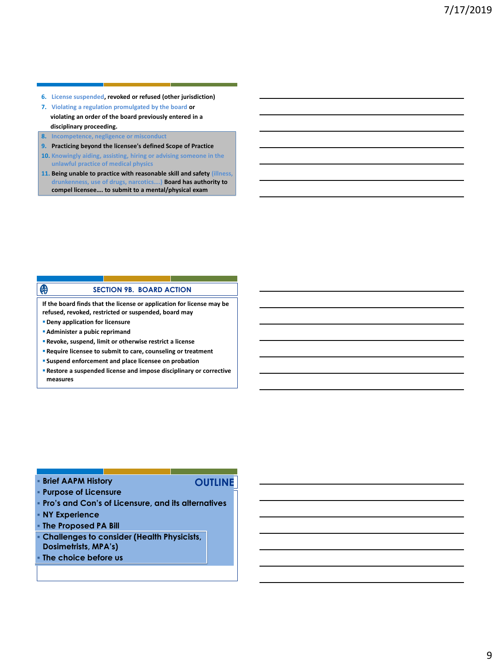- **6. License suspended, revoked or refused (other jurisdiction)**
- **7. Violating a regulation promulgated by the board or violating an order of the board previously entered in a disciplinary proceeding.**
- **8. Incompetence, negligence or misconduct**
- **9. Practicing beyond the licensee's defined Scope of Practice**
- **10. Knowingly aiding, assisting, hiring or advising someone in the unlawful practice of medical physics**
- **11. Being unable to practice with reasonable skill and safety (illness, drunkenness, use of drugs, narcotics….) Board has authority to compel licensee…. to submit to a mental/physical exam**

### **SECTION 9B. BOARD ACTION**

**If the board finds that the license or application for license may be refused, revoked, restricted or suspended, board may**

**Deny application for licensure**

₩

- **Administer a pubic reprimand**
- **Revoke, suspend, limit or otherwise restrict a license**
- **Require licensee to submit to care, counseling or treatment**
- **Suspend enforcement and place licensee on probation**
- **Restore a suspended license and impose disciplinary or corrective measures**

## **Brief AAPM History**

## **OUTLINE**

- **Purpose of Licensure**
- **Pro's and Con's of Licensure, and its alternatives**
- **NY Experience**
- **The Proposed PA Bill**
- **Challenges to consider (Health Physicists, Dosimetrists, MPA's)**
- **The choice before us**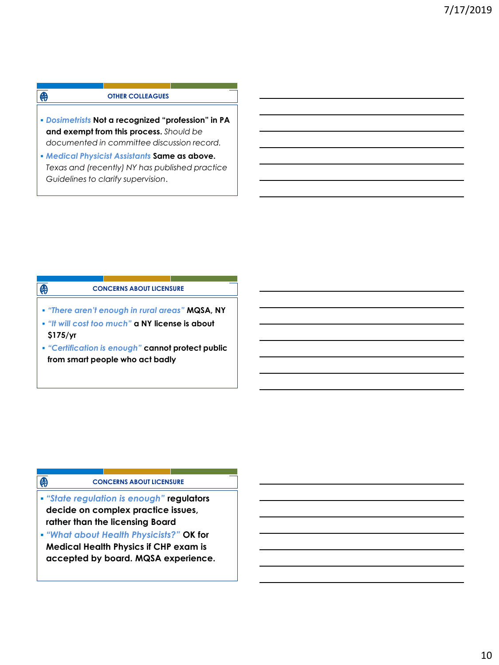## **OTHER COLLEAGUES**

₩

#

争

- *Dosimetrists* **Not a recognized "profession" in PA and exempt from this process.** *Should be documented in committee discussion record.*
- *Medical Physicist Assistants* **Same as above.**  *Texas and (recently) NY has published practice Guidelines to clarify supervision*.

## **CONCERNS ABOUT LICENSURE**

- *"There aren't enough in rural areas"* **MQSA, NY**
- *"It will cost too much"* **a NY license is about \$175/yr**
- *"Certification is enough"* **cannot protect public from smart people who act badly**

### **CONCERNS ABOUT LICENSURE**

- *"State regulation is enough"* **regulators decide on complex practice issues, rather than the licensing Board**
- *"What about Health Physicists?"* **OK for Medical Health Physics if CHP exam is accepted by board. MQSA experience.**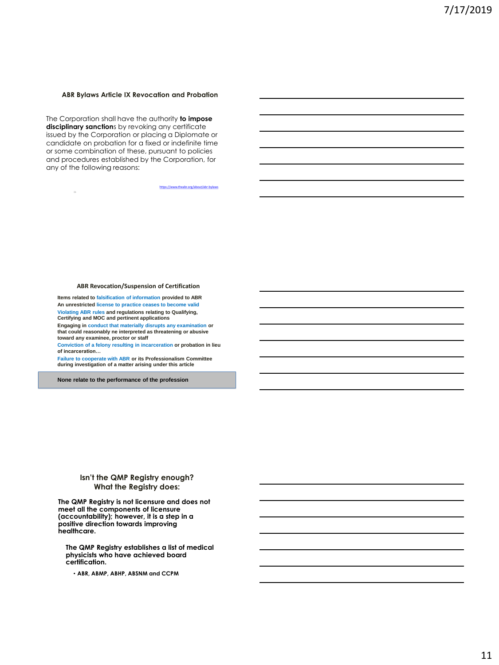#### **ABR Bylaws Article IX Revocation and Probation**

The Corporation shall have the authority **to impose disciplinary sanction**s by revoking any certificate issued by the Corporation or placing a Diplomate or candidate on probation for a fixed or indefinite time or some combination of these, pursuant to policies and procedures established by the Corporation, for any of the following reasons:

<sub>31</sub>

<https://www.theabr.org/about/abr-bylaws>

#### **ABR Revocation/Suspension of Certification**

**Items related to falsification of information provided to ABR An unrestricted license to practice ceases to become valid Violating ABR rules and regulations relating to Qualifying, Certifying and MOC and pertinent applications**

**Engaging in conduct that materially disrupts any examination or that could reasonably ne interpreted as threatening or abusive toward any examinee, proctor or staff**

**Conviction of a felony resulting in incarceration or probation in lieu of incarceration…**

**Failure to cooperate with ABR or its Professionalism Committee during investigation of a matter arising under this article**

**None relate to the performance of the profession**

### **Isn't the QMP Registry enough? What the Registry does:**

**The QMP Registry is not licensure and does not meet all the components of licensure (accountability); however, it is a step in a positive direction towards improving healthcare.** 

**The QMP Registry establishes a list of medical physicists who have achieved board certification.** 

• **ABR, ABMP, ABHP, ABSNM and CCPM**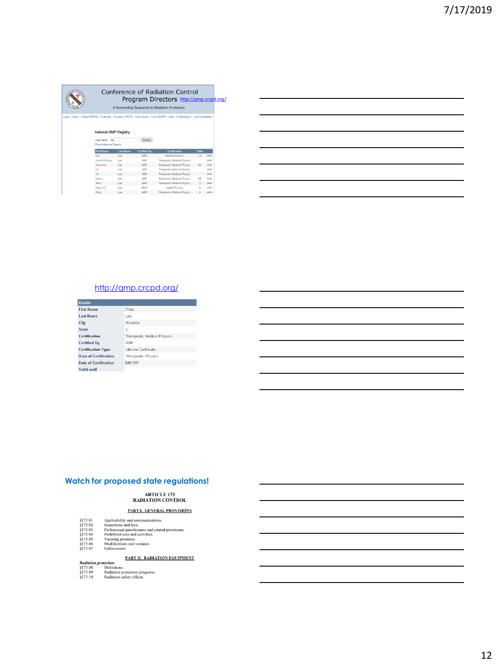|                         |                  |                     | Conference of Radiation Control<br>Program Directors http://gmp.crcpd.org/                                              |              |                 |
|-------------------------|------------------|---------------------|-------------------------------------------------------------------------------------------------------------------------|--------------|-----------------|
|                         |                  |                     | A Partnership Dedicated to Radiation Protection                                                                         |              |                 |
|                         |                  |                     | Login   Home   About CRCPD   Calendar   Contact CRCPD   Disclaimer   Join CRCPD   Next   Publications   GA Collectibles |              |                 |
|                         |                  |                     |                                                                                                                         |              |                 |
| National OMP Registry   |                  |                     |                                                                                                                         |              |                 |
|                         |                  |                     |                                                                                                                         |              |                 |
| Last Name<br><b>See</b> |                  | Search              |                                                                                                                         |              |                 |
| Show Advanced Search    |                  |                     |                                                                                                                         |              |                 |
| <b>First Name</b>       | <b>Last Name</b> | <b>Certified By</b> | Certification                                                                                                           | <b>State</b> |                 |
| Kai                     | Low              | <b>ABR</b>          | Medical Physics                                                                                                         | CA           | details         |
| Kar Ho Francis          | Lma              | <b>AER</b>          | Therapeutic Medical Physics                                                                                             |              | Amulto          |
| Keynchus                | Lee              | ABR                 | Therapeutic Medical Physics                                                                                             | NJ           | <b>Artake</b>   |
| SG:                     | Lee              | ABR                 | Diagnostic Medical Physics                                                                                              |              | tiento          |
| ice.                    | Line:            | <b>ARR</b>          | Therapeutic Medical Physics                                                                                             |              | <b>FIELDS</b>   |
| Nancy                   | Los              | <b>ABR</b>          | Therapeutic Medical Physics                                                                                             | NE           | <b>Senie</b>    |
| Nina                    | Lee              | ABR.                | Therapeutic Medical Physics                                                                                             | TX           | brake           |
| Pater J-T.              | 1.68             | ABHP                | <b>Health Physics</b>                                                                                                   | IL.          | <b>Astrolin</b> |

## <http://qmp.crcpd.org/>

| <b>Details</b>               |                             |  |
|------------------------------|-----------------------------|--|
| <b>First Name</b>            | Plate                       |  |
| <b>Last Name</b>             | Lee                         |  |
| City                         | Hinsdale                    |  |
| <b>State</b>                 | IL.                         |  |
| Certification                | Therapeutic Medical Physics |  |
| <b>Certified By</b>          | <b>ARR</b>                  |  |
| <b>Certification Type</b>    | Lifetime Certificate        |  |
| <b>Area of Certification</b> | <b>Therapeutic Physics</b>  |  |
| <b>Date of Certification</b> | 6/6/1991                    |  |
| Valid until                  |                             |  |

## **Watch for proposed state regulations!**

# ARTICLE 175<br>RADIATION CONTROL

## **PART I. GENERAL PROVISIONS**

- Applicability and communications.<br>
The Christian Communications and fest<br>
Professional practitioners and related provisions.<br>
Prohibited uses and activities.<br>
Vacating premises.<br>
Modifications and variance.<br>
Enforcement. §175.01<br>§175.02<br>§175.03<br>§175.04<br>§175.05<br>§175.07
- 
- 
- 
- 

#### **PART II. RADIATION EQUIPMENT**

- **Radiation protection**<br>
§175.08 Definitions.<br>
§175.09 Radiation protection programs.<br>
§175.10 Radiation safety officer.
-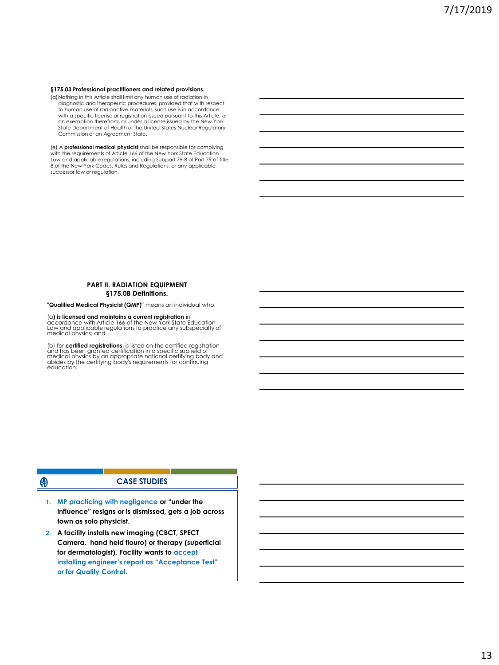#### **§175.03 Professional practitioners and related provisions.**

(a) Nothing in this Article shall limit any human use of radiation in diagnostic and therapeutic procedures, provided that with respect to human use of radioactive materials, such use is in accordance with a specific license or registration issued pursuant to this Article, or an exemption therefrom, or under a license issued by the New York State Department of Health or the United States Nuclear Regulatory Commission or an Agreement State.

(e) A **professional medical physicist** shall be responsible for complying with the requirements of Article 166 of the New York State Education Law and applicable regulations, including Subpart 79-8 of Part 79 of Title 8 of the New York Codes, Rules and Regulations, or any applicable successor law or regulation.

#### **PART II. RADIATION EQUIPMENT §175.08 Definitions.**

**"Qualified Medical Physicist (QMP)"** means an individual who:

(a**) is licensed and maintains a current registration** in accordance with Article 166 of the New York State Education Law and applicable regulations to practice any subspecialty of medical physics; and

(b) for **certified registrations**, is listed on the certified registration<br>and has been granted certification in a specific subfield of<br>medical physics by an appropriate national certifying body and<br>abides by the certifyin

## **CASE STUDIES**

4

- **1. MP practicing with negligence or "under the influence" resigns or is dismissed, gets a job across town as solo physicist.**
- **2. A facility installs new imaging (CBCT, SPECT Camera, hand held flouro) or therapy (superficial for dermatologist). Facility wants to accept installing engineer's report as "Acceptance Test" or for Quality Control.**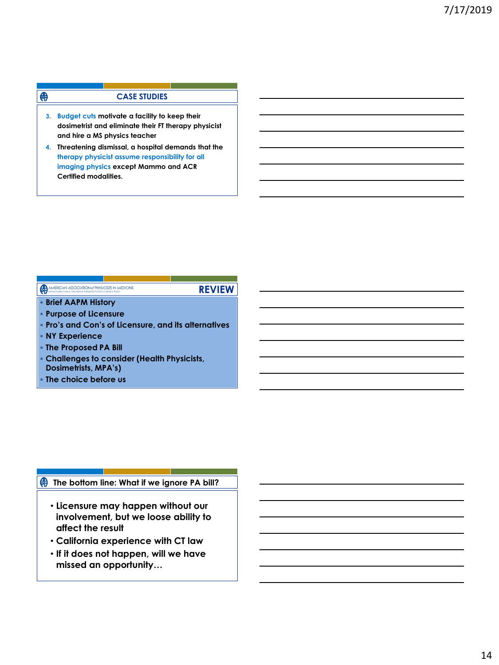## **CASE STUDIES**

- **3. Budget cuts motivate a facility to keep their dosimetrist and eliminate their FT therapy physicist and hire a MS physics teacher**
- **4. Threatening dismissal, a hospital demands that the therapy physicist assume responsibility for all imaging physics except Mammo and ACR Certified modalities.**

## AMERICAN ASSOCIATION of PHYSICISTS IN MEDICINE<br>Advancing the Science, Education & Professional Practice of Medical Physics

**REVIEW**

- **Brief AAPM History**
- **Purpose of Licensure**
- **Pro's and Con's of Licensure, and its alternatives**
- **NY Experience**

₩

- **The Proposed PA Bill**
- **Challenges to consider (Health Physicists,**
- **Dosimetrists, MPA's)**
- **The choice before us**

## **The bottom line: What if we ignore PA bill?**

<u>a sa sala</u>

- **Licensure may happen without our involvement, but we loose ability to affect the result**
- **California experience with CT law**
- **If it does not happen, will we have missed an opportunity…**